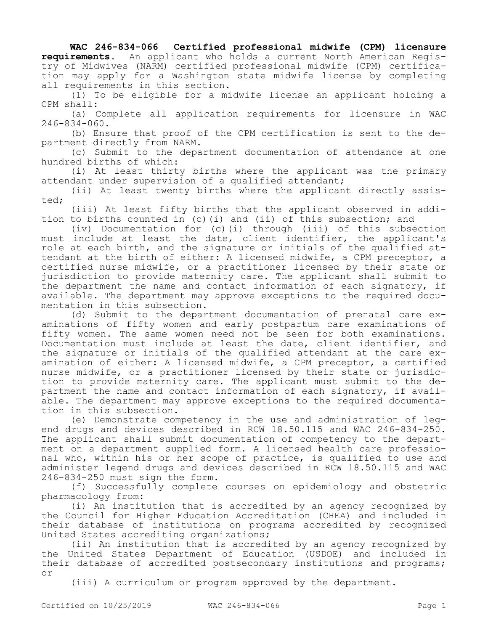## **WAC 246-834-066 Certified professional midwife (CPM) licensure**

**requirements.** An applicant who holds a current North American Registry of Midwives (NARM) certified professional midwife (CPM) certification may apply for a Washington state midwife license by completing all requirements in this section.

(1) To be eligible for a midwife license an applicant holding a CPM shall:

(a) Complete all application requirements for licensure in WAC 246-834-060.

(b) Ensure that proof of the CPM certification is sent to the department directly from NARM.

(c) Submit to the department documentation of attendance at one hundred births of which:

(i) At least thirty births where the applicant was the primary attendant under supervision of a qualified attendant;

(ii) At least twenty births where the applicant directly assisted;

(iii) At least fifty births that the applicant observed in addition to births counted in (c)(i) and (ii) of this subsection; and

(iv) Documentation for (c)(i) through (iii) of this subsection must include at least the date, client identifier, the applicant's role at each birth, and the signature or initials of the qualified attendant at the birth of either: A licensed midwife, a CPM preceptor, a certified nurse midwife, or a practitioner licensed by their state or jurisdiction to provide maternity care. The applicant shall submit to the department the name and contact information of each signatory, if available. The department may approve exceptions to the required documentation in this subsection.

(d) Submit to the department documentation of prenatal care examinations of fifty women and early postpartum care examinations of fifty women. The same women need not be seen for both examinations. Documentation must include at least the date, client identifier, and the signature or initials of the qualified attendant at the care examination of either: A licensed midwife, a CPM preceptor, a certified nurse midwife, or a practitioner licensed by their state or jurisdiction to provide maternity care. The applicant must submit to the department the name and contact information of each signatory, if available. The department may approve exceptions to the required documentation in this subsection.

(e) Demonstrate competency in the use and administration of legend drugs and devices described in RCW 18.50.115 and WAC 246-834-250. The applicant shall submit documentation of competency to the department on a department supplied form. A licensed health care professional who, within his or her scope of practice, is qualified to use and administer legend drugs and devices described in RCW 18.50.115 and WAC 246-834-250 must sign the form.

(f) Successfully complete courses on epidemiology and obstetric pharmacology from:

(i) An institution that is accredited by an agency recognized by the Council for Higher Education Accreditation (CHEA) and included in their database of institutions on programs accredited by recognized United States accrediting organizations;

(ii) An institution that is accredited by an agency recognized by the United States Department of Education (USDOE) and included in their database of accredited postsecondary institutions and programs; or

(iii) A curriculum or program approved by the department.